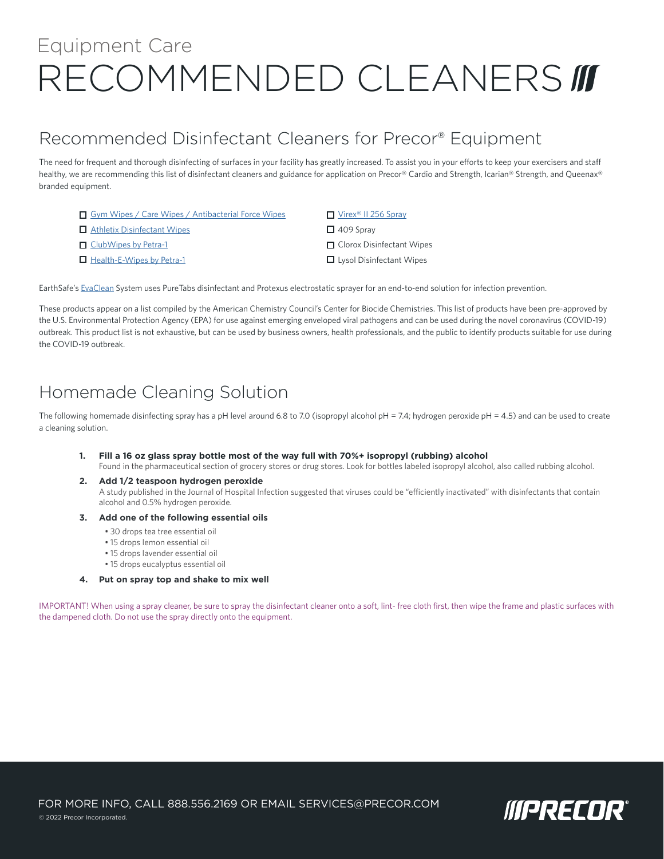# RECOMMENDED CLEANERS III Equipment Care

## Recommended Disinfectant Cleaners for Precor® Equipment

The need for frequent and thorough disinfecting of surfaces in your facility has greatly increased. To assist you in your efforts to keep your exercisers and staff healthy, we are recommending this list of disinfectant cleaners and guidance for application on Precor® Cardio and Strength, Icarian® Strength, and Queenax® branded equipment.

- [Gym Wipes / Care Wipes / Antibacterial Force Wipes](https://www.2xlcorp.com/2xl-400-antibacterial-force-wipes/)
- □ [Athletix Disinfectant Wipes](http://t3athletix.com/athletix-products/disinfectant-wipes)
- [ClubWipes by Petra-1](https://cfeservices.co/wipe-specs)
- [Health-E-Wipes by Petra-1](https://cfeservices.co/wipe-specs)

#### ■ Virex<sup>®</sup> II 256 Spray

- $\Box$  409 Sprav
- **O** Clorox Disinfectant Wipes
- **Lysol Disinfectant Wipes**

EarthSafe's [EvaClean](https://evaclean.com/) System uses PureTabs disinfectant and Protexus electrostatic sprayer for an end-to-end solution for infection prevention.

These products appear on a list compiled by the American Chemistry Council's Center for Biocide Chemistries. This list of products have been pre-approved by the U.S. Environmental Protection Agency (EPA) for use against emerging enveloped viral pathogens and can be used during the novel coronavirus (COVID-19) outbreak. This product list is not exhaustive, but can be used by business owners, health professionals, and the public to identify products suitable for use during the COVID-19 outbreak.

## Homemade Cleaning Solution

The following homemade disinfecting spray has a pH level around 6.8 to 7.0 (isopropyl alcohol pH = 7.4; hydrogen peroxide pH = 4.5) and can be used to create a cleaning solution.

#### **1. Fill a 16 oz glass spray bottle most of the way full with 70%+ isopropyl (rubbing) alcohol**

Found in the pharmaceutical section of grocery stores or drug stores. Look for bottles labeled isopropyl alcohol, also called rubbing alcohol.

**2. Add 1/2 teaspoon hydrogen peroxide** A study published in the Journal of Hospital Infection suggested that viruses could be "efficiently inactivated" with disinfectants that contain alcohol and 0.5% hydrogen peroxide.

#### **3. Add one of the following essential oils**

- 30 drops tea tree essential oil
- 15 drops lemon essential oil
- 15 drops lavender essential oil
- 15 drops eucalyptus essential oil
- **4. Put on spray top and shake to mix well**

IMPORTANT! When using a spray cleaner, be sure to spray the disinfectant cleaner onto a soft, lint- free cloth first, then wipe the frame and plastic surfaces with the dampened cloth. Do not use the spray directly onto the equipment.